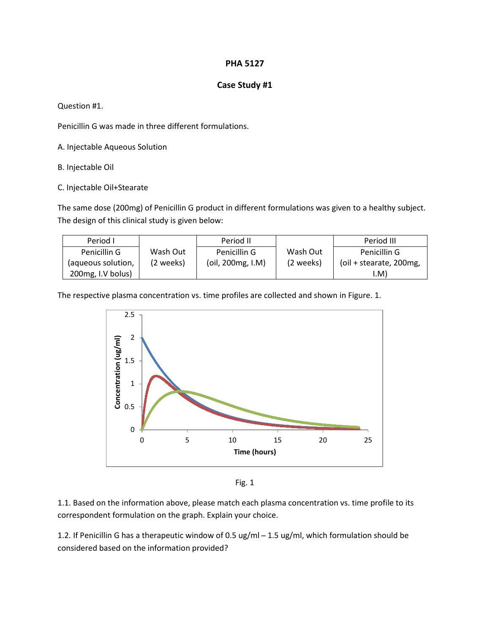## **PHA 5127**

## **Case Study #1**

Question #1.

Penicillin G was made in three different formulations.

A. Injectable Aqueous Solution

B. Injectable Oil

C. Injectable Oil+Stearate

The same dose (200mg) of Penicillin G product in different formulations was given to a healthy subject. The design of this clinical study is given below:

| Period I           |           | Period II         |           | Period III                 |
|--------------------|-----------|-------------------|-----------|----------------------------|
| Penicillin G       | Wash Out  | Penicillin G      | Wash Out  | Penicillin G               |
| (aqueous solution, | (2 weeks) | (oil, 200mg, I.M) | (2 weeks) | (oil + stearate, $200$ mg, |
| 200 mg, I.V bolus) |           |                   |           | (M)                        |

The respective plasma concentration vs. time profiles are collected and shown in Figure. 1.



Fig. 1

1.1. Based on the information above, please match each plasma concentration vs. time profile to its correspondent formulation on the graph. Explain your choice.

1.2. If Penicillin G has a therapeutic window of 0.5 ug/ml - 1.5 ug/ml, which formulation should be considered based on the information provided?